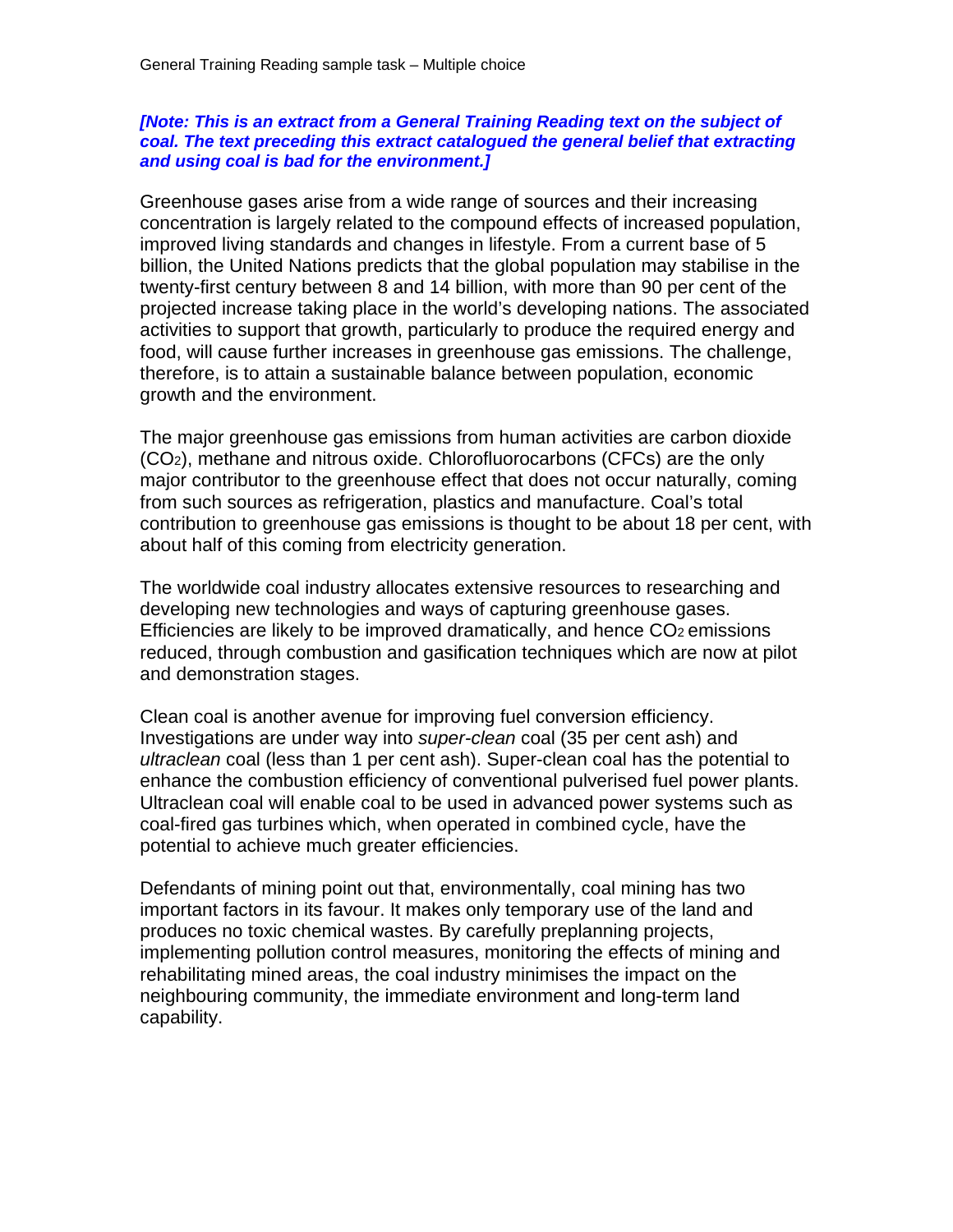## *[Note: This is an extract from a General Training Reading text on the subject of coal. The text preceding this extract catalogued the general belief that extracting and using coal is bad for the environment.]*

Greenhouse gases arise from a wide range of sources and their increasing concentration is largely related to the compound effects of increased population, improved living standards and changes in lifestyle. From a current base of 5 billion, the United Nations predicts that the global population may stabilise in the twenty-first century between 8 and 14 billion, with more than 90 per cent of the projected increase taking place in the world's developing nations. The associated activities to support that growth, particularly to produce the required energy and food, will cause further increases in greenhouse gas emissions. The challenge, therefore, is to attain a sustainable balance between population, economic growth and the environment.

The major greenhouse gas emissions from human activities are carbon dioxide (CO2), methane and nitrous oxide. Chlorofluorocarbons (CFCs) are the only major contributor to the greenhouse effect that does not occur naturally, coming from such sources as refrigeration, plastics and manufacture. Coal's total contribution to greenhouse gas emissions is thought to be about 18 per cent, with about half of this coming from electricity generation.

The worldwide coal industry allocates extensive resources to researching and developing new technologies and ways of capturing greenhouse gases. Efficiencies are likely to be improved dramatically, and hence  $CO<sub>2</sub>$  emissions reduced, through combustion and gasification techniques which are now at pilot and demonstration stages.

Clean coal is another avenue for improving fuel conversion efficiency. Investigations are under way into *super-clean* coal (35 per cent ash) and *ultraclean* coal (less than 1 per cent ash). Super-clean coal has the potential to enhance the combustion efficiency of conventional pulverised fuel power plants. Ultraclean coal will enable coal to be used in advanced power systems such as coal-fired gas turbines which, when operated in combined cycle, have the potential to achieve much greater efficiencies.

Defendants of mining point out that, environmentally, coal mining has two important factors in its favour. It makes only temporary use of the land and produces no toxic chemical wastes. By carefully preplanning projects, implementing pollution control measures, monitoring the effects of mining and rehabilitating mined areas, the coal industry minimises the impact on the neighbouring community, the immediate environment and long-term land capability.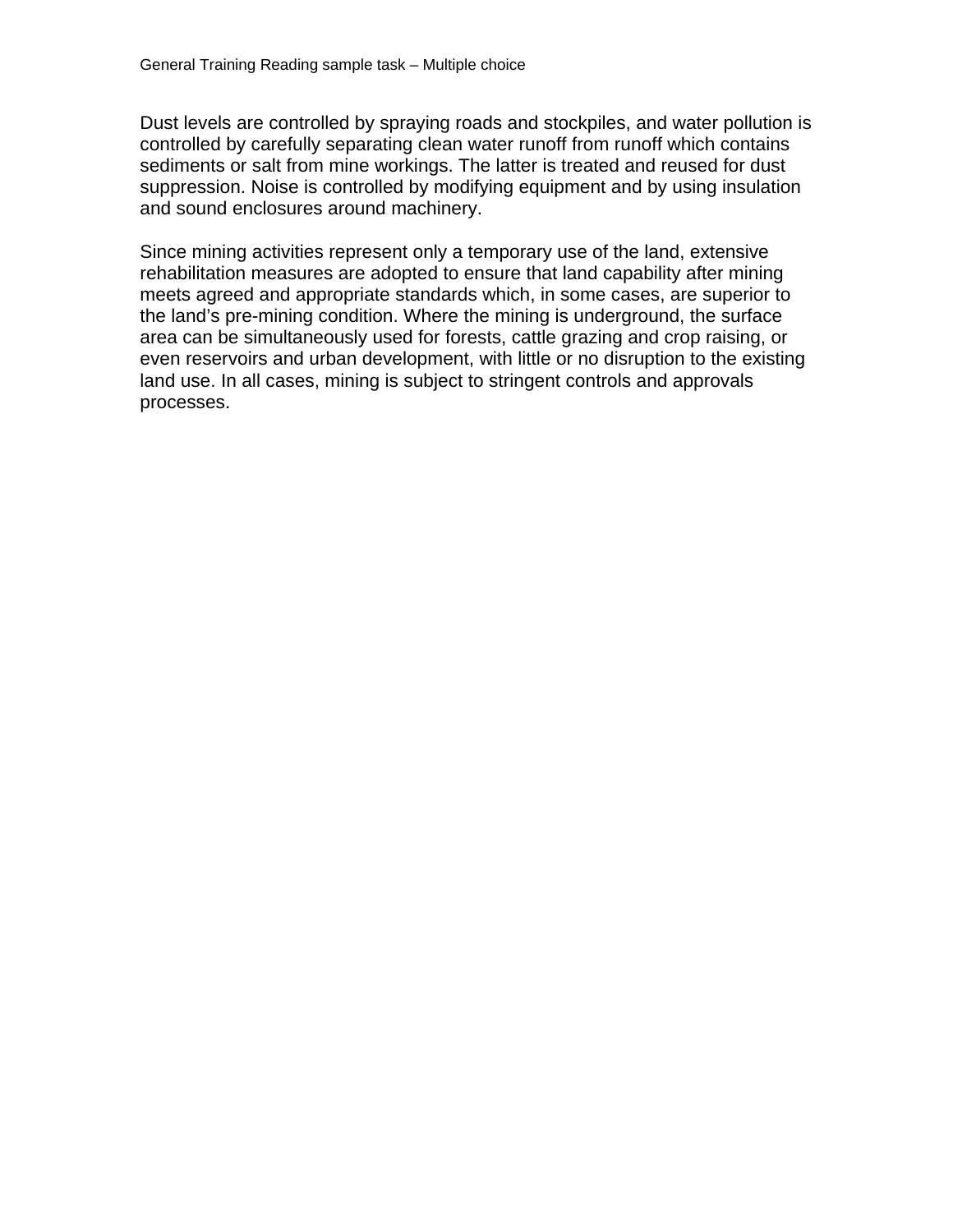Dust levels are controlled by spraying roads and stockpiles, and water pollution is controlled by carefully separating clean water runoff from runoff which contains sediments or salt from mine workings. The latter is treated and reused for dust suppression. Noise is controlled by modifying equipment and by using insulation and sound enclosures around machinery.

Since mining activities represent only a temporary use of the land, extensive rehabilitation measures are adopted to ensure that land capability after mining meets agreed and appropriate standards which, in some cases, are superior to the land's pre-mining condition. Where the mining is underground, the surface area can be simultaneously used for forests, cattle grazing and crop raising, or even reservoirs and urban development, with little or no disruption to the existing land use. In all cases, mining is subject to stringent controls and approvals processes.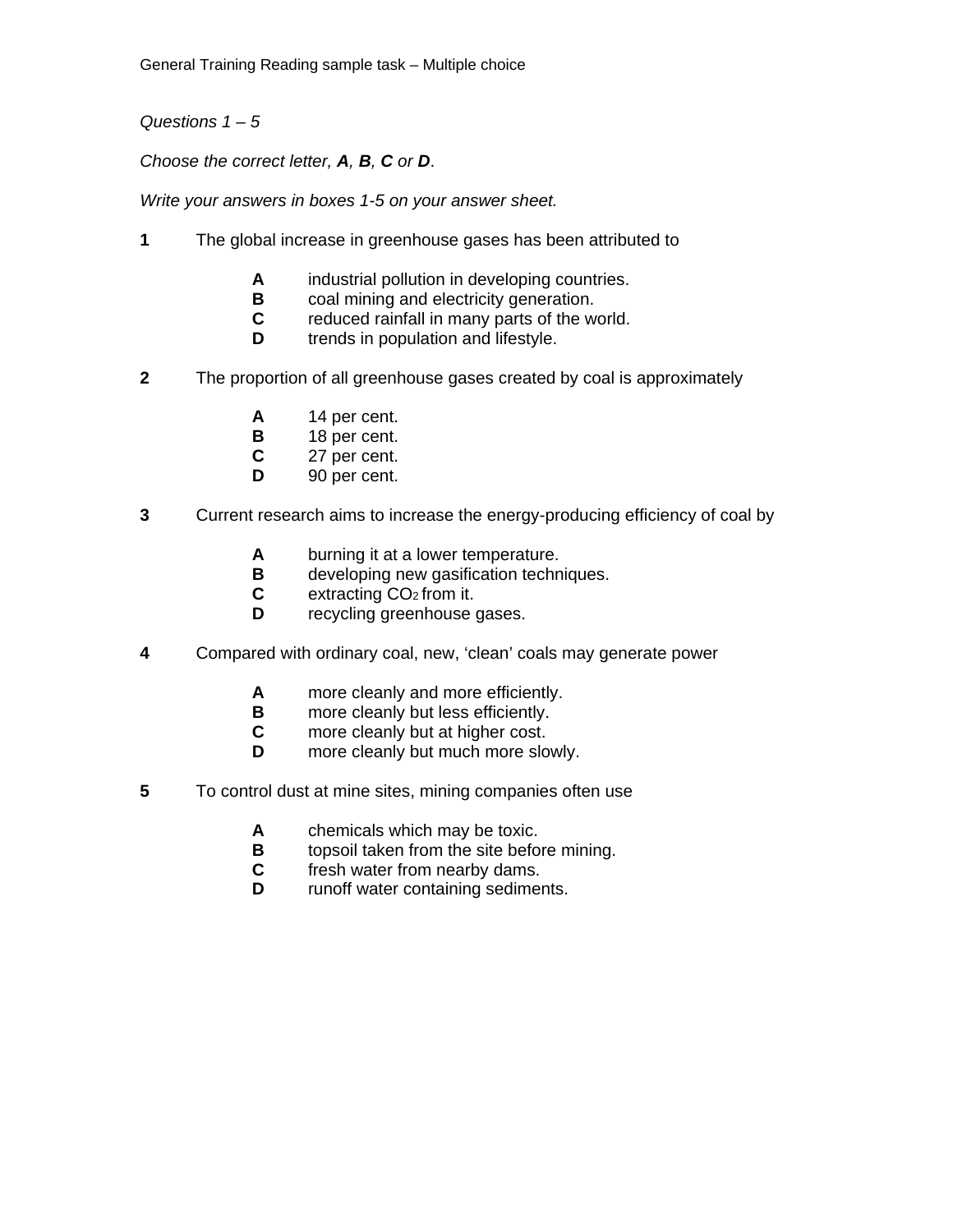General Training Reading sample task – Multiple choice

*Questions 1 – 5* 

*Choose the correct letter, A, B, C or D*.

*Write your answers in boxes 1-5 on your answer sheet.* 

- **1** The global increase in greenhouse gases has been attributed to
	- **A** industrial pollution in developing countries.
	- **B** coal mining and electricity generation.<br>**C** reduced rainfall in many parts of the w
	- **C** reduced rainfall in many parts of the world.<br> **D** trends in population and lifestyle
	- trends in population and lifestyle.
- **2** The proportion of all greenhouse gases created by coal is approximately
	- **A** 14 per cent.<br>**B** 18 per cent.
	- **B** 18 per cent.<br>**C** 27 per cent.
	- 27 per cent.
	- **D** 90 per cent.
- **3** Current research aims to increase the energy-producing efficiency of coal by
	- **A** burning it at a lower temperature.
	- **B** developing new gasification techniques.<br>**C** extracting CO<sub>2</sub> from it.
	- extracting CO<sub>2</sub> from it.
	- **D** recycling greenhouse gases.
- **4** Compared with ordinary coal, new, 'clean' coals may generate power
	- **A** more cleanly and more efficiently.
	- **B** more cleanly but less efficiently.<br>**C** more cleanly but at higher cost.
	- more cleanly but at higher cost.
	- **D** more cleanly but much more slowly.
- **5** To control dust at mine sites, mining companies often use
	- **A** chemicals which may be toxic.
	- **B** topsoil taken from the site before mining.
	- **C** fresh water from nearby dams.
	- **D** runoff water containing sediments.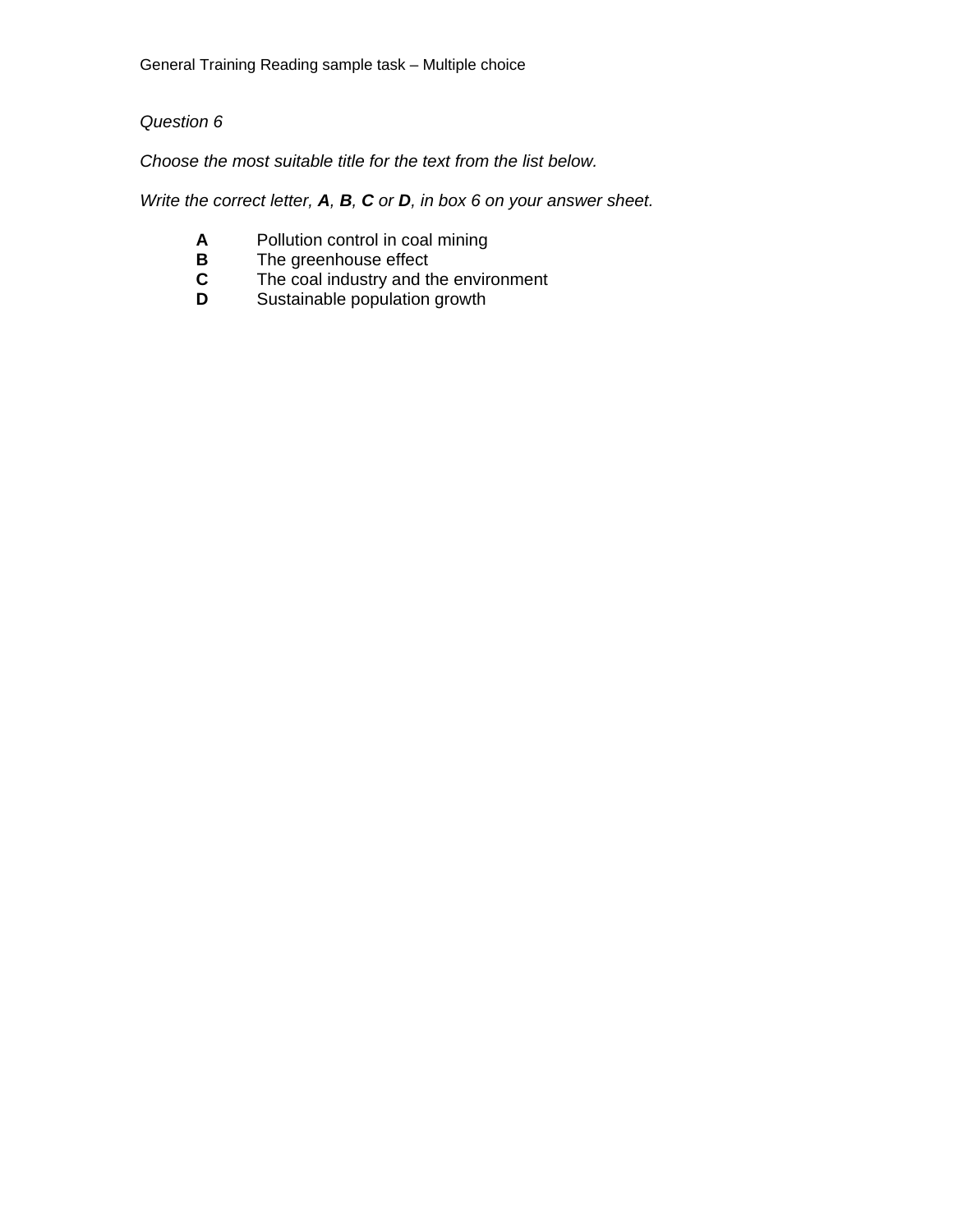## *Question 6*

*Choose the most suitable title for the text from the list below.* 

*Write the correct letter, A, B, C or D, in box 6 on your answer sheet.* 

- **A** Pollution control in coal mining<br>**B** The greenhouse effect
- 
- **B** The greenhouse effect<br>**C** The coal industry and the **C** The coal industry and the environment<br>**D** Sustainable population growth
- Sustainable population growth